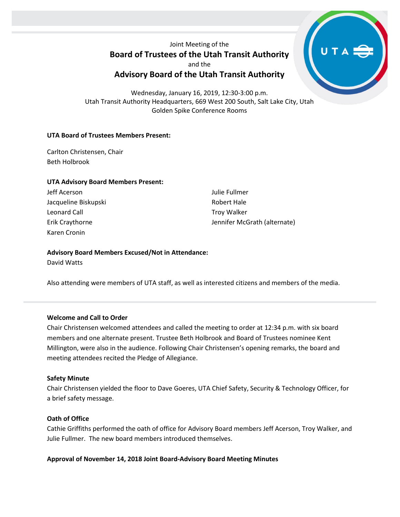Joint Meeting of the **Board of Trustees of the Utah Transit Authority**

and the

# **Advisory Board of the Utah Transit Authority**

Wednesday, January 16, 2019, 12:30-3:00 p.m. Utah Transit Authority Headquarters, 669 West 200 South, Salt Lake City, Utah Golden Spike Conference Rooms

# **UTA Board of Trustees Members Present:**

Carlton Christensen, Chair Beth Holbrook

### **UTA Advisory Board Members Present:**

Jeff Acerson Jacqueline Biskupski Leonard Call Erik Craythorne Karen Cronin

Julie Fullmer Robert Hale Troy Walker Jennifer McGrath (alternate)

# **Advisory Board Members Excused/Not in Attendance:**

David Watts

Also attending were members of UTA staff, as well as interested citizens and members of the media.

# **Welcome and Call to Order**

Chair Christensen welcomed attendees and called the meeting to order at 12:34 p.m. with six board members and one alternate present. Trustee Beth Holbrook and Board of Trustees nominee Kent Millington, were also in the audience. Following Chair Christensen's opening remarks, the board and meeting attendees recited the Pledge of Allegiance.

# **Safety Minute**

Chair Christensen yielded the floor to Dave Goeres, UTA Chief Safety, Security & Technology Officer, for a brief safety message.

# **Oath of Office**

Cathie Griffiths performed the oath of office for Advisory Board members Jeff Acerson, Troy Walker, and Julie Fullmer. The new board members introduced themselves.

# **Approval of November 14, 2018 Joint Board-Advisory Board Meeting Minutes**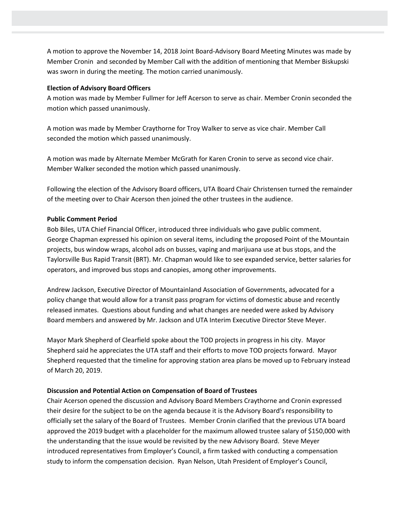A motion to approve the November 14, 2018 Joint Board-Advisory Board Meeting Minutes was made by Member Cronin and seconded by Member Call with the addition of mentioning that Member Biskupski was sworn in during the meeting. The motion carried unanimously.

#### **Election of Advisory Board Officers**

A motion was made by Member Fullmer for Jeff Acerson to serve as chair. Member Cronin seconded the motion which passed unanimously.

A motion was made by Member Craythorne for Troy Walker to serve as vice chair. Member Call seconded the motion which passed unanimously.

A motion was made by Alternate Member McGrath for Karen Cronin to serve as second vice chair. Member Walker seconded the motion which passed unanimously.

Following the election of the Advisory Board officers, UTA Board Chair Christensen turned the remainder of the meeting over to Chair Acerson then joined the other trustees in the audience.

# **Public Comment Period**

Bob Biles, UTA Chief Financial Officer, introduced three individuals who gave public comment. George Chapman expressed his opinion on several items, including the proposed Point of the Mountain projects, bus window wraps, alcohol ads on busses, vaping and marijuana use at bus stops, and the Taylorsville Bus Rapid Transit (BRT). Mr. Chapman would like to see expanded service, better salaries for operators, and improved bus stops and canopies, among other improvements.

Andrew Jackson, Executive Director of Mountainland Association of Governments, advocated for a policy change that would allow for a transit pass program for victims of domestic abuse and recently released inmates. Questions about funding and what changes are needed were asked by Advisory Board members and answered by Mr. Jackson and UTA Interim Executive Director Steve Meyer.

Mayor Mark Shepherd of Clearfield spoke about the TOD projects in progress in his city. Mayor Shepherd said he appreciates the UTA staff and their efforts to move TOD projects forward. Mayor Shepherd requested that the timeline for approving station area plans be moved up to February instead of March 20, 2019.

#### **Discussion and Potential Action on Compensation of Board of Trustees**

Chair Acerson opened the discussion and Advisory Board Members Craythorne and Cronin expressed their desire for the subject to be on the agenda because it is the Advisory Board's responsibility to officially set the salary of the Board of Trustees. Member Cronin clarified that the previous UTA board approved the 2019 budget with a placeholder for the maximum allowed trustee salary of \$150,000 with the understanding that the issue would be revisited by the new Advisory Board. Steve Meyer introduced representatives from Employer's Council, a firm tasked with conducting a compensation study to inform the compensation decision. Ryan Nelson, Utah President of Employer's Council,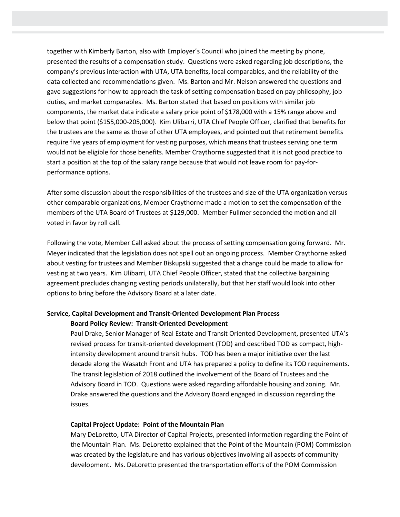together with Kimberly Barton, also with Employer's Council who joined the meeting by phone, presented the results of a compensation study. Questions were asked regarding job descriptions, the company's previous interaction with UTA, UTA benefits, local comparables, and the reliability of the data collected and recommendations given. Ms. Barton and Mr. Nelson answered the questions and gave suggestions for how to approach the task of setting compensation based on pay philosophy, job duties, and market comparables. Ms. Barton stated that based on positions with similar job components, the market data indicate a salary price point of \$178,000 with a 15% range above and below that point (\$155,000-205,000). Kim Ulibarri, UTA Chief People Officer, clarified that benefits for the trustees are the same as those of other UTA employees, and pointed out that retirement benefits require five years of employment for vesting purposes, which means that trustees serving one term would not be eligible for those benefits. Member Craythorne suggested that it is not good practice to start a position at the top of the salary range because that would not leave room for pay-forperformance options.

After some discussion about the responsibilities of the trustees and size of the UTA organization versus other comparable organizations, Member Craythorne made a motion to set the compensation of the members of the UTA Board of Trustees at \$129,000. Member Fullmer seconded the motion and all voted in favor by roll call.

Following the vote, Member Call asked about the process of setting compensation going forward. Mr. Meyer indicated that the legislation does not spell out an ongoing process. Member Craythorne asked about vesting for trustees and Member Biskupski suggested that a change could be made to allow for vesting at two years. Kim Ulibarri, UTA Chief People Officer, stated that the collective bargaining agreement precludes changing vesting periods unilaterally, but that her staff would look into other options to bring before the Advisory Board at a later date.

# **Service, Capital Development and Transit-Oriented Development Plan Process Board Policy Review: Transit-Oriented Development**

Paul Drake, Senior Manager of Real Estate and Transit Oriented Development, presented UTA's revised process for transit-oriented development (TOD) and described TOD as compact, highintensity development around transit hubs. TOD has been a major initiative over the last decade along the Wasatch Front and UTA has prepared a policy to define its TOD requirements. The transit legislation of 2018 outlined the involvement of the Board of Trustees and the Advisory Board in TOD. Questions were asked regarding affordable housing and zoning. Mr. Drake answered the questions and the Advisory Board engaged in discussion regarding the issues.

# **Capital Project Update: Point of the Mountain Plan**

Mary DeLoretto, UTA Director of Capital Projects, presented information regarding the Point of the Mountain Plan. Ms. DeLoretto explained that the Point of the Mountain (POM) Commission was created by the legislature and has various objectives involving all aspects of community development. Ms. DeLoretto presented the transportation efforts of the POM Commission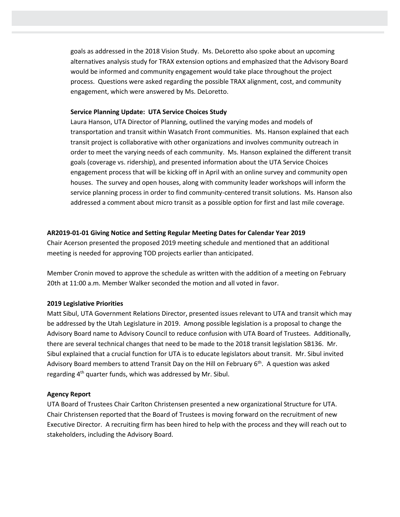goals as addressed in the 2018 Vision Study. Ms. DeLoretto also spoke about an upcoming alternatives analysis study for TRAX extension options and emphasized that the Advisory Board would be informed and community engagement would take place throughout the project process. Questions were asked regarding the possible TRAX alignment, cost, and community engagement, which were answered by Ms. DeLoretto.

## **Service Planning Update: UTA Service Choices Study**

Laura Hanson, UTA Director of Planning, outlined the varying modes and models of transportation and transit within Wasatch Front communities. Ms. Hanson explained that each transit project is collaborative with other organizations and involves community outreach in order to meet the varying needs of each community. Ms. Hanson explained the different transit goals (coverage vs. ridership), and presented information about the UTA Service Choices engagement process that will be kicking off in April with an online survey and community open houses. The survey and open houses, along with community leader workshops will inform the service planning process in order to find community-centered transit solutions. Ms. Hanson also addressed a comment about micro transit as a possible option for first and last mile coverage.

### **AR2019-01-01 Giving Notice and Setting Regular Meeting Dates for Calendar Year 2019**

Chair Acerson presented the proposed 2019 meeting schedule and mentioned that an additional meeting is needed for approving TOD projects earlier than anticipated.

Member Cronin moved to approve the schedule as written with the addition of a meeting on February 20th at 11:00 a.m. Member Walker seconded the motion and all voted in favor.

#### **2019 Legislative Priorities**

Matt Sibul, UTA Government Relations Director, presented issues relevant to UTA and transit which may be addressed by the Utah Legislature in 2019. Among possible legislation is a proposal to change the Advisory Board name to Advisory Council to reduce confusion with UTA Board of Trustees. Additionally, there are several technical changes that need to be made to the 2018 transit legislation SB136. Mr. Sibul explained that a crucial function for UTA is to educate legislators about transit. Mr. Sibul invited Advisory Board members to attend Transit Day on the Hill on February 6<sup>th</sup>. A question was asked regarding 4<sup>th</sup> quarter funds, which was addressed by Mr. Sibul.

#### **Agency Report**

UTA Board of Trustees Chair Carlton Christensen presented a new organizational Structure for UTA. Chair Christensen reported that the Board of Trustees is moving forward on the recruitment of new Executive Director. A recruiting firm has been hired to help with the process and they will reach out to stakeholders, including the Advisory Board.